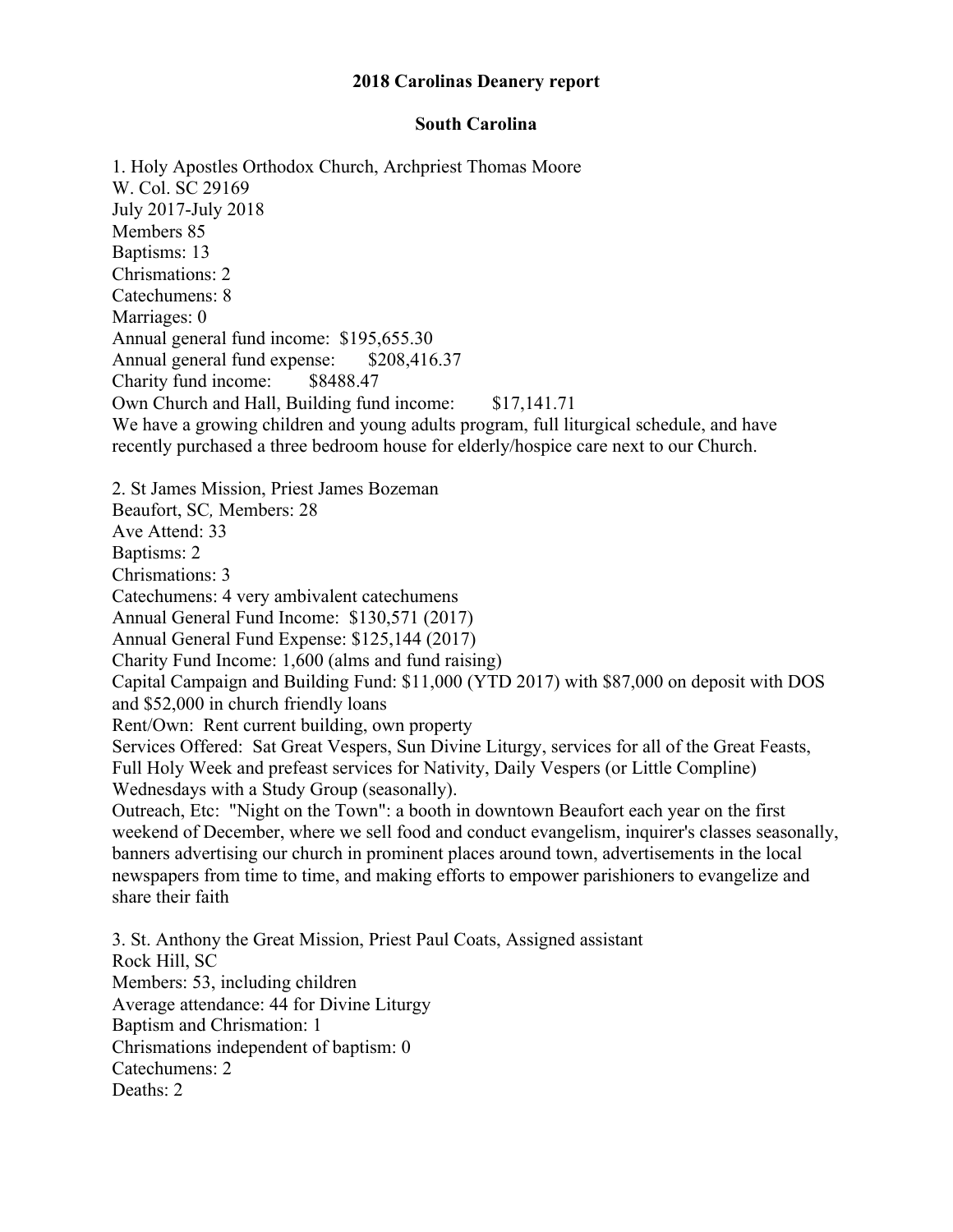## **2018 Carolinas Deanery report**

## **South Carolina**

1. Holy Apostles Orthodox Church, Archpriest Thomas Moore W. Col. SC 29169 July 2017-July 2018 Members 85 Baptisms: 13 Chrismations: 2 Catechumens: 8 Marriages: 0 Annual general fund income: \$195,655.30 Annual general fund expense: \$208,416.37 Charity fund income: \$8488.47 Own Church and Hall, Building fund income: \$17,141.71 We have a growing children and young adults program, full liturgical schedule, and have recently purchased a three bedroom house for elderly/hospice care next to our Church. 2. St James Mission, Priest James Bozeman Beaufort, SC*,* Members: 28 Ave Attend: 33 Baptisms: 2 Chrismations: 3 Catechumens: 4 very ambivalent catechumens Annual General Fund Income: \$130,571 (2017) Annual General Fund Expense: \$125,144 (2017) Charity Fund Income: 1,600 (alms and fund raising) Capital Campaign and Building Fund: \$11,000 (YTD 2017) with \$87,000 on deposit with DOS and \$52,000 in church friendly loans Rent/Own: Rent current building, own property Services Offered: Sat Great Vespers, Sun Divine Liturgy, services for all of the Great Feasts, Full Holy Week and prefeast services for Nativity, Daily Vespers (or Little Compline) Wednesdays with a Study Group (seasonally). Outreach, Etc: "Night on the Town": a booth in downtown Beaufort each year on the first weekend of December, where we sell food and conduct evangelism, inquirer's classes seasonally, banners advertising our church in prominent places around town, advertisements in the local newspapers from time to time, and making efforts to empower parishioners to evangelize and share their faith 3. St. Anthony the Great Mission, Priest Paul Coats, Assigned assistant Rock Hill, SC Members: 53, including children Average attendance: 44 for Divine Liturgy Baptism and Chrismation: 1 Chrismations independent of baptism: 0 Catechumens: 2

Deaths: 2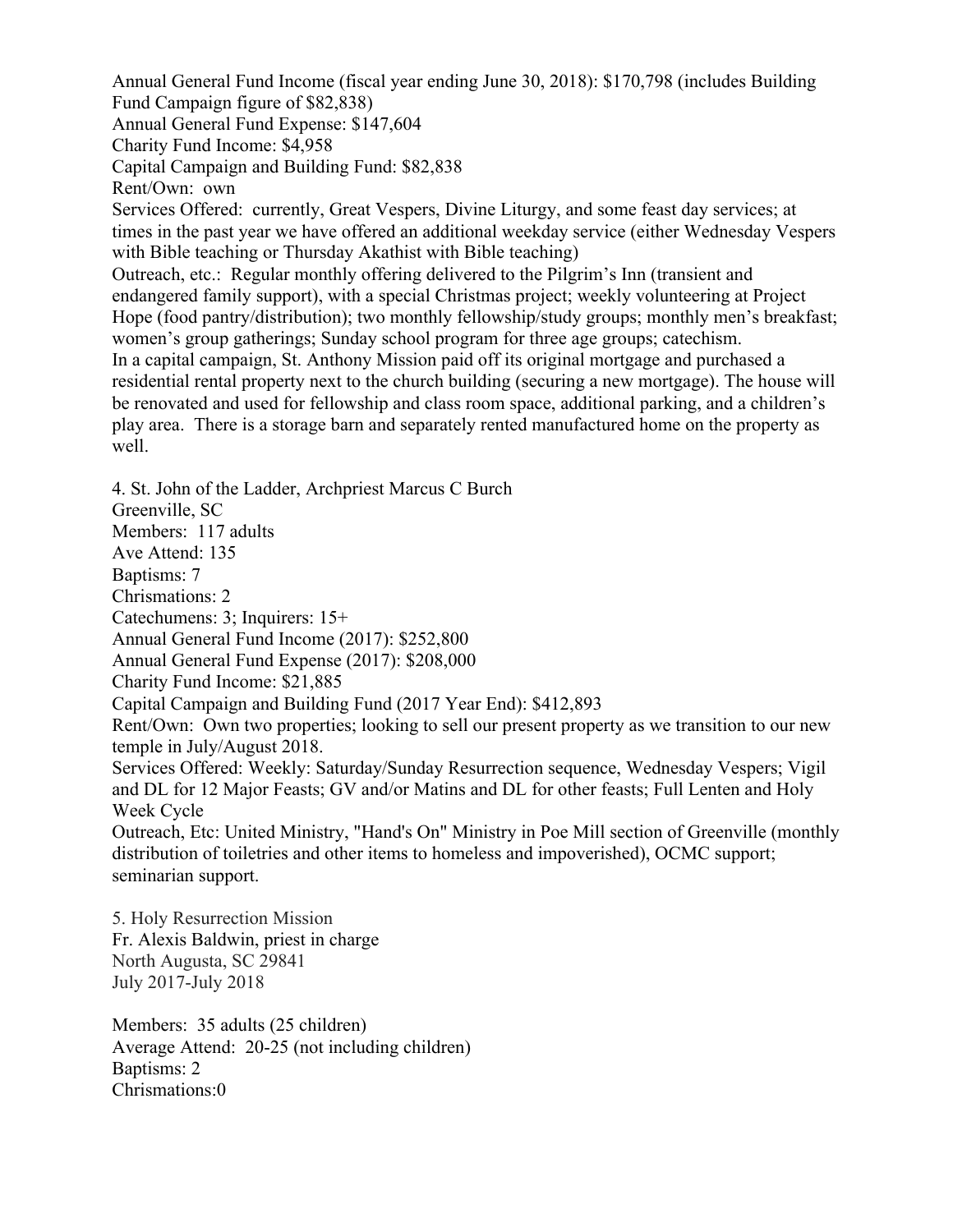Annual General Fund Income (fiscal year ending June 30, 2018): \$170,798 (includes Building Fund Campaign figure of \$82,838) Annual General Fund Expense: \$147,604 Charity Fund Income: \$4,958 Capital Campaign and Building Fund: \$82,838 Rent/Own: own Services Offered: currently, Great Vespers, Divine Liturgy, and some feast day services; at times in the past year we have offered an additional weekday service (either Wednesday Vespers with Bible teaching or Thursday Akathist with Bible teaching) Outreach, etc.: Regular monthly offering delivered to the Pilgrim's Inn (transient and endangered family support), with a special Christmas project; weekly volunteering at Project Hope (food pantry/distribution); two monthly fellowship/study groups; monthly men's breakfast; women's group gatherings; Sunday school program for three age groups; catechism. In a capital campaign, St. Anthony Mission paid off its original mortgage and purchased a residential rental property next to the church building (securing a new mortgage). The house will be renovated and used for fellowship and class room space, additional parking, and a children's play area. There is a storage barn and separately rented manufactured home on the property as well.

4. St. John of the Ladder, Archpriest Marcus C Burch Greenville, SC Members: 117 adults Ave Attend: 135 Baptisms: 7 Chrismations: 2 Catechumens: 3; Inquirers: 15+ Annual General Fund Income (2017): \$252,800 Annual General Fund Expense (2017): \$208,000 Charity Fund Income: \$21,885 Capital Campaign and Building Fund (2017 Year End): \$412,893 Rent/Own: Own two properties; looking to sell our present property as we transition to our new temple in July/August 2018. Services Offered: Weekly: Saturday/Sunday Resurrection sequence, Wednesday Vespers; Vigil and DL for 12 Major Feasts; GV and/or Matins and DL for other feasts; Full Lenten and Holy Week Cycle Outreach, Etc: United Ministry, "Hand's On" Ministry in Poe Mill section of Greenville (monthly distribution of toiletries and other items to homeless and impoverished), OCMC support; seminarian support.

5. Holy Resurrection Mission Fr. Alexis Baldwin, priest in charge North Augusta, SC 29841 July 2017-July 2018

Members: 35 adults (25 children) Average Attend: 20-25 (not including children) Baptisms: 2 Chrismations:0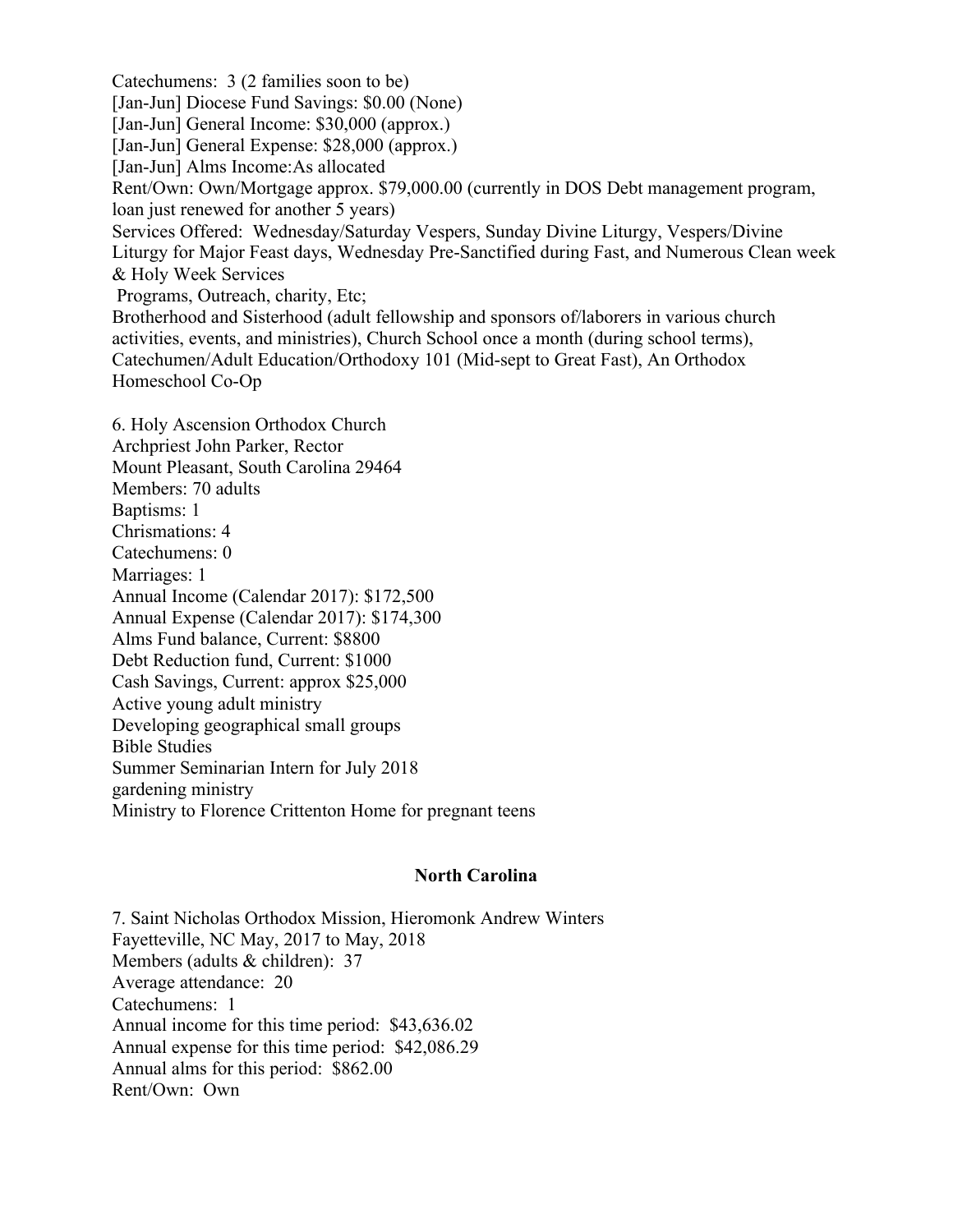Catechumens: 3 (2 families soon to be) [Jan-Jun] Diocese Fund Savings: \$0.00 (None) [Jan-Jun] General Income: \$30,000 (approx.) [Jan-Jun] General Expense: \$28,000 (approx.) [Jan-Jun] Alms Income:As allocated Rent/Own: Own/Mortgage approx. \$79,000.00 (currently in DOS Debt management program, loan just renewed for another 5 years) Services Offered: Wednesday/Saturday Vespers, Sunday Divine Liturgy, Vespers/Divine Liturgy for Major Feast days, Wednesday Pre-Sanctified during Fast, and Numerous Clean week & Holy Week Services Programs, Outreach, charity, Etc; Brotherhood and Sisterhood (adult fellowship and sponsors of/laborers in various church activities, events, and ministries), Church School once a month (during school terms), Catechumen/Adult Education/Orthodoxy 101 (Mid-sept to Great Fast), An Orthodox Homeschool Co-Op 6. Holy Ascension Orthodox Church

Archpriest John Parker, Rector Mount Pleasant, South Carolina 29464 Members: 70 adults Baptisms: 1 Chrismations: 4 Catechumens: 0 Marriages: 1 Annual Income (Calendar 2017): \$172,500 Annual Expense (Calendar 2017): \$174,300 Alms Fund balance, Current: \$8800 Debt Reduction fund, Current: \$1000 Cash Savings, Current: approx \$25,000 Active young adult ministry Developing geographical small groups Bible Studies Summer Seminarian Intern for July 2018 gardening ministry Ministry to Florence Crittenton Home for pregnant teens

## **North Carolina**

7. Saint Nicholas Orthodox Mission, Hieromonk Andrew Winters Fayetteville, NC May, 2017 to May, 2018 Members (adults & children): 37 Average attendance: 20 Catechumens: 1 Annual income for this time period: \$43,636.02 Annual expense for this time period: \$42,086.29 Annual alms for this period: \$862.00 Rent/Own: Own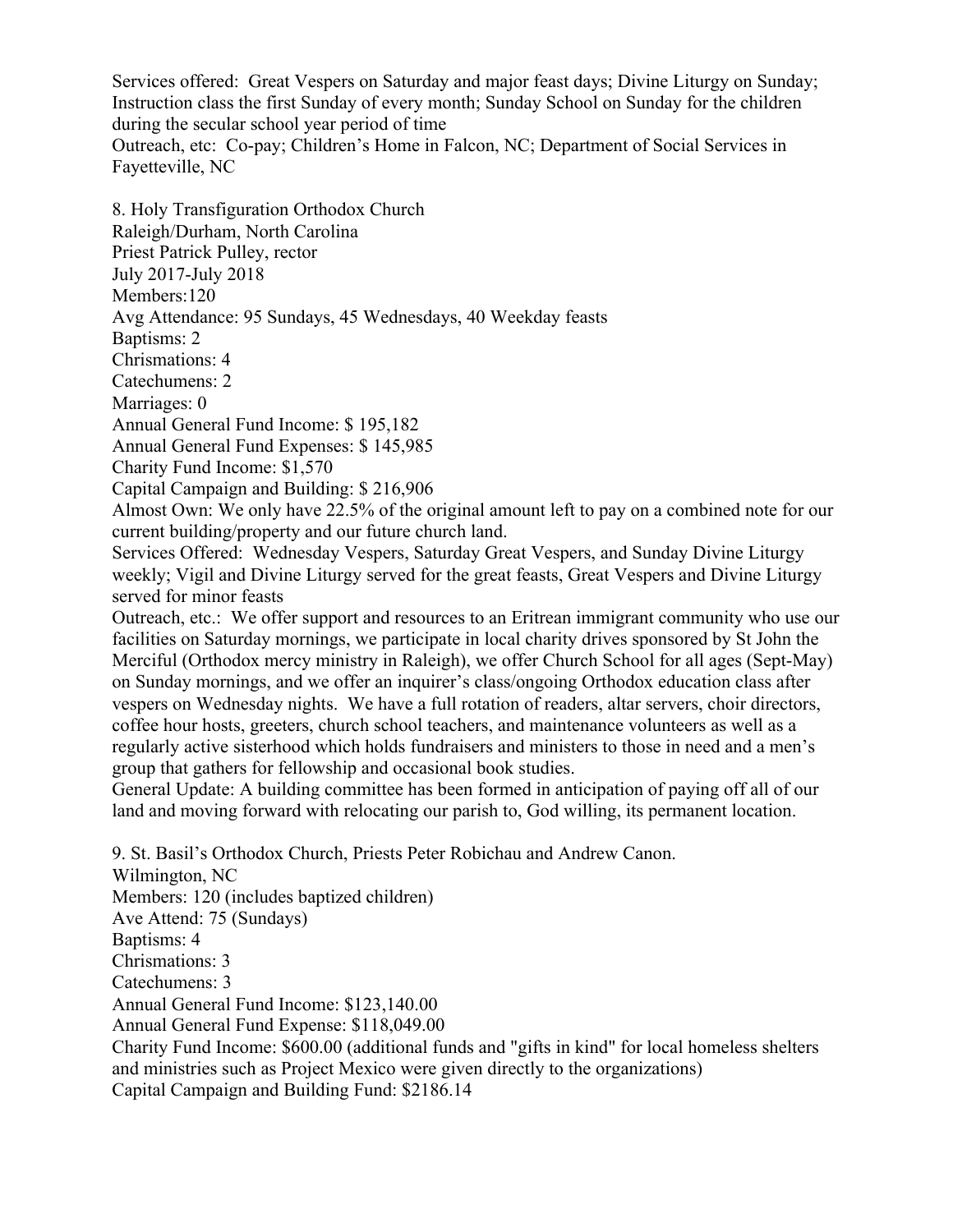Services offered: Great Vespers on Saturday and major feast days; Divine Liturgy on Sunday; Instruction class the first Sunday of every month; Sunday School on Sunday for the children during the secular school year period of time

Outreach, etc: Co-pay; Children's Home in Falcon, NC; Department of Social Services in Fayetteville, NC

8. Holy Transfiguration Orthodox Church Raleigh/Durham, North Carolina Priest Patrick Pulley, rector July 2017-July 2018 Members:120 Avg Attendance: 95 Sundays, 45 Wednesdays, 40 Weekday feasts Baptisms: 2 Chrismations: 4 Catechumens: 2 Marriages: 0 Annual General Fund Income: \$ 195,182 Annual General Fund Expenses: \$ 145,985 Charity Fund Income: \$1,570 Capital Campaign and Building: \$ 216,906 Almost Own: We only have 22.5% of the original amount left to pay on a combined note for our current building/property and our future church land. Services Offered: Wednesday Vespers, Saturday Great Vespers, and Sunday Divine Liturgy weekly; Vigil and Divine Liturgy served for the great feasts, Great Vespers and Divine Liturgy served for minor feasts Outreach, etc.: We offer support and resources to an Eritrean immigrant community who use our facilities on Saturday mornings, we participate in local charity drives sponsored by St John the Merciful (Orthodox mercy ministry in Raleigh), we offer Church School for all ages (Sept-May) on Sunday mornings, and we offer an inquirer's class/ongoing Orthodox education class after vespers on Wednesday nights. We have a full rotation of readers, altar servers, choir directors, coffee hour hosts, greeters, church school teachers, and maintenance volunteers as well as a regularly active sisterhood which holds fundraisers and ministers to those in need and a men's group that gathers for fellowship and occasional book studies. General Update: A building committee has been formed in anticipation of paying off all of our land and moving forward with relocating our parish to, God willing, its permanent location. 9. St. Basil's Orthodox Church, Priests Peter Robichau and Andrew Canon. Wilmington, NC Members: 120 (includes baptized children) Ave Attend: 75 (Sundays) Baptisms: 4

Chrismations: 3

Catechumens: 3

Annual General Fund Income: \$123,140.00

Annual General Fund Expense: \$118,049.00

Charity Fund Income: \$600.00 (additional funds and "gifts in kind" for local homeless shelters and ministries such as Project Mexico were given directly to the organizations) Capital Campaign and Building Fund: \$2186.14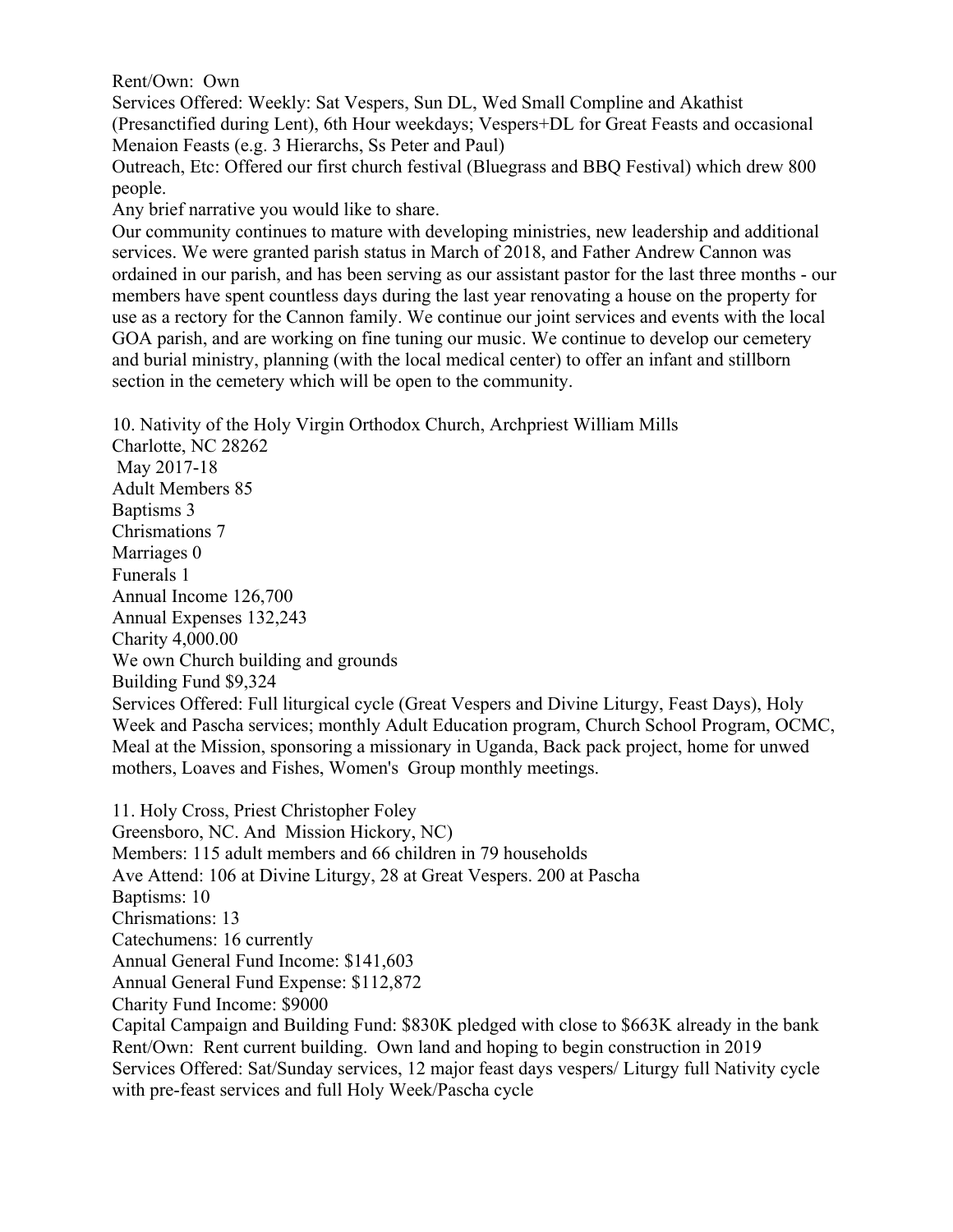Rent/Own: Own

Services Offered: Weekly: Sat Vespers, Sun DL, Wed Small Compline and Akathist (Presanctified during Lent), 6th Hour weekdays; Vespers+DL for Great Feasts and occasional Menaion Feasts (e.g. 3 Hierarchs, Ss Peter and Paul)

Outreach, Etc: Offered our first church festival (Bluegrass and BBQ Festival) which drew 800 people.

Any brief narrative you would like to share.

Our community continues to mature with developing ministries, new leadership and additional services. We were granted parish status in March of 2018, and Father Andrew Cannon was ordained in our parish, and has been serving as our assistant pastor for the last three months - our members have spent countless days during the last year renovating a house on the property for use as a rectory for the Cannon family. We continue our joint services and events with the local GOA parish, and are working on fine tuning our music. We continue to develop our cemetery and burial ministry, planning (with the local medical center) to offer an infant and stillborn section in the cemetery which will be open to the community.

10. Nativity of the Holy Virgin Orthodox Church, Archpriest William Mills

Charlotte, NC 28262 May 2017-18 Adult Members 85 Baptisms 3 Chrismations 7 Marriages 0 Funerals 1 Annual Income 126,700 Annual Expenses 132,243 Charity 4,000.00 We own Church building and grounds Building Fund \$9,324 Services Offered: Full liturgical cycle (Great Vespers and Divine Liturgy, Feast Days), Holy Week and Pascha services; monthly Adult Education program, Church School Program, OCMC, Meal at the Mission, sponsoring a missionary in Uganda, Back pack project, home for unwed mothers, Loaves and Fishes, Women's Group monthly meetings.

11. Holy Cross, Priest Christopher Foley Greensboro, NC. And Mission Hickory, NC) Members: 115 adult members and 66 children in 79 households Ave Attend: 106 at Divine Liturgy, 28 at Great Vespers. 200 at Pascha Baptisms: 10 Chrismations: 13 Catechumens: 16 currently Annual General Fund Income: \$141,603 Annual General Fund Expense: \$112,872 Charity Fund Income: \$9000 Capital Campaign and Building Fund: \$830K pledged with close to \$663K already in the bank Rent/Own: Rent current building. Own land and hoping to begin construction in 2019 Services Offered: Sat/Sunday services, 12 major feast days vespers/ Liturgy full Nativity cycle with pre-feast services and full Holy Week/Pascha cycle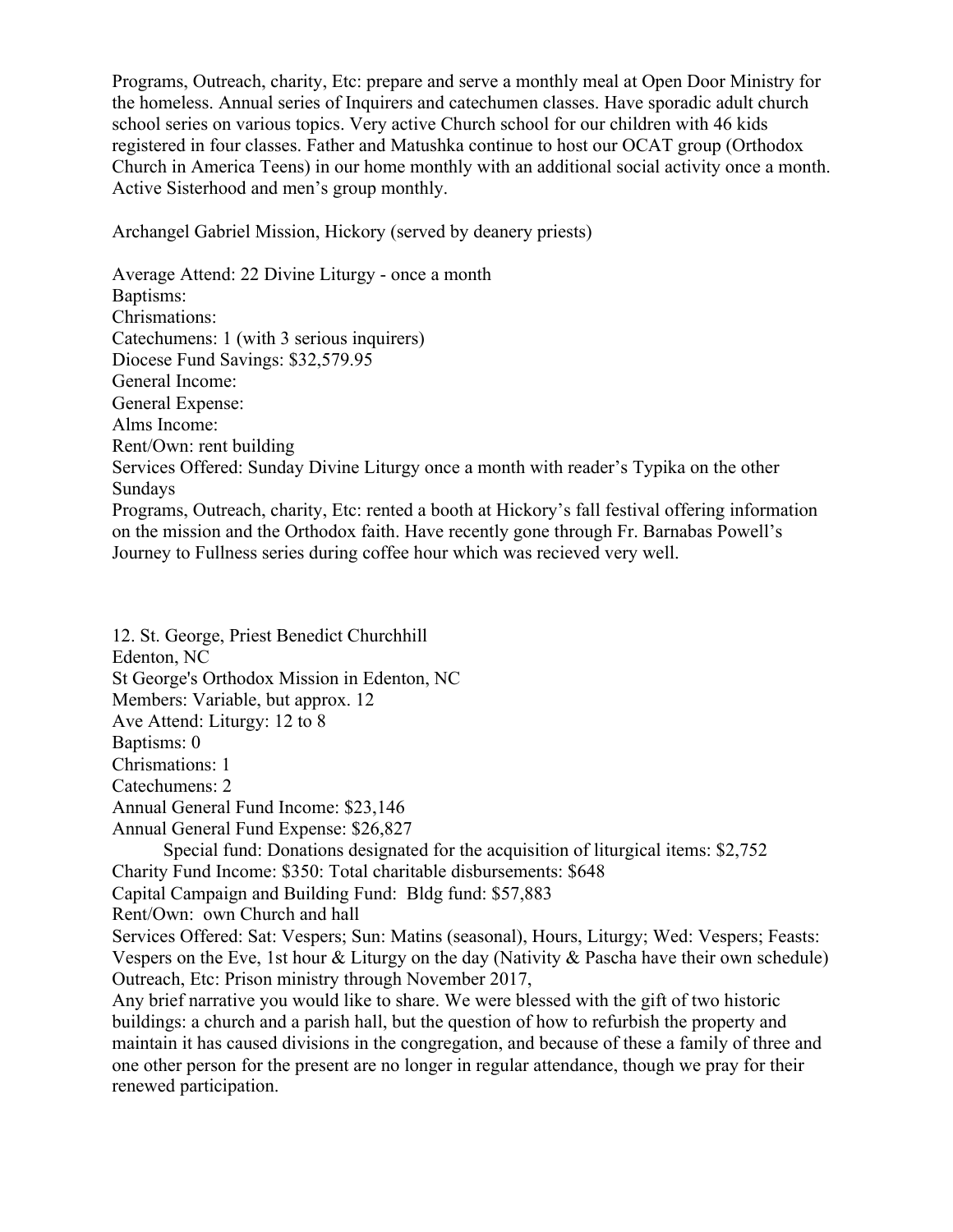Programs, Outreach, charity, Etc: prepare and serve a monthly meal at Open Door Ministry for the homeless. Annual series of Inquirers and catechumen classes. Have sporadic adult church school series on various topics. Very active Church school for our children with 46 kids registered in four classes. Father and Matushka continue to host our OCAT group (Orthodox Church in America Teens) in our home monthly with an additional social activity once a month. Active Sisterhood and men's group monthly.

Archangel Gabriel Mission, Hickory (served by deanery priests)

Average Attend: 22 Divine Liturgy - once a month Baptisms: Chrismations: Catechumens: 1 (with 3 serious inquirers) Diocese Fund Savings: \$32,579.95 General Income: General Expense: Alms Income: Rent/Own: rent building Services Offered: Sunday Divine Liturgy once a month with reader's Typika on the other Sundays Programs, Outreach, charity, Etc: rented a booth at Hickory's fall festival offering information on the mission and the Orthodox faith. Have recently gone through Fr. Barnabas Powell's Journey to Fullness series during coffee hour which was recieved very well.

12. St. George, Priest Benedict Churchhill

Edenton, NC

St George's Orthodox Mission in Edenton, NC

Members: Variable, but approx. 12

Ave Attend: Liturgy: 12 to 8

Baptisms: 0

Chrismations: 1

Catechumens: 2

Annual General Fund Income: \$23,146

Annual General Fund Expense: \$26,827

 Special fund: Donations designated for the acquisition of liturgical items: \$2,752 Charity Fund Income: \$350: Total charitable disbursements: \$648

Capital Campaign and Building Fund: Bldg fund: \$57,883

Rent/Own: own Church and hall

Services Offered: Sat: Vespers; Sun: Matins (seasonal), Hours, Liturgy; Wed: Vespers; Feasts: Vespers on the Eve, 1st hour & Liturgy on the day (Nativity & Pascha have their own schedule) Outreach, Etc: Prison ministry through November 2017,

Any brief narrative you would like to share. We were blessed with the gift of two historic buildings: a church and a parish hall, but the question of how to refurbish the property and maintain it has caused divisions in the congregation, and because of these a family of three and one other person for the present are no longer in regular attendance, though we pray for their renewed participation.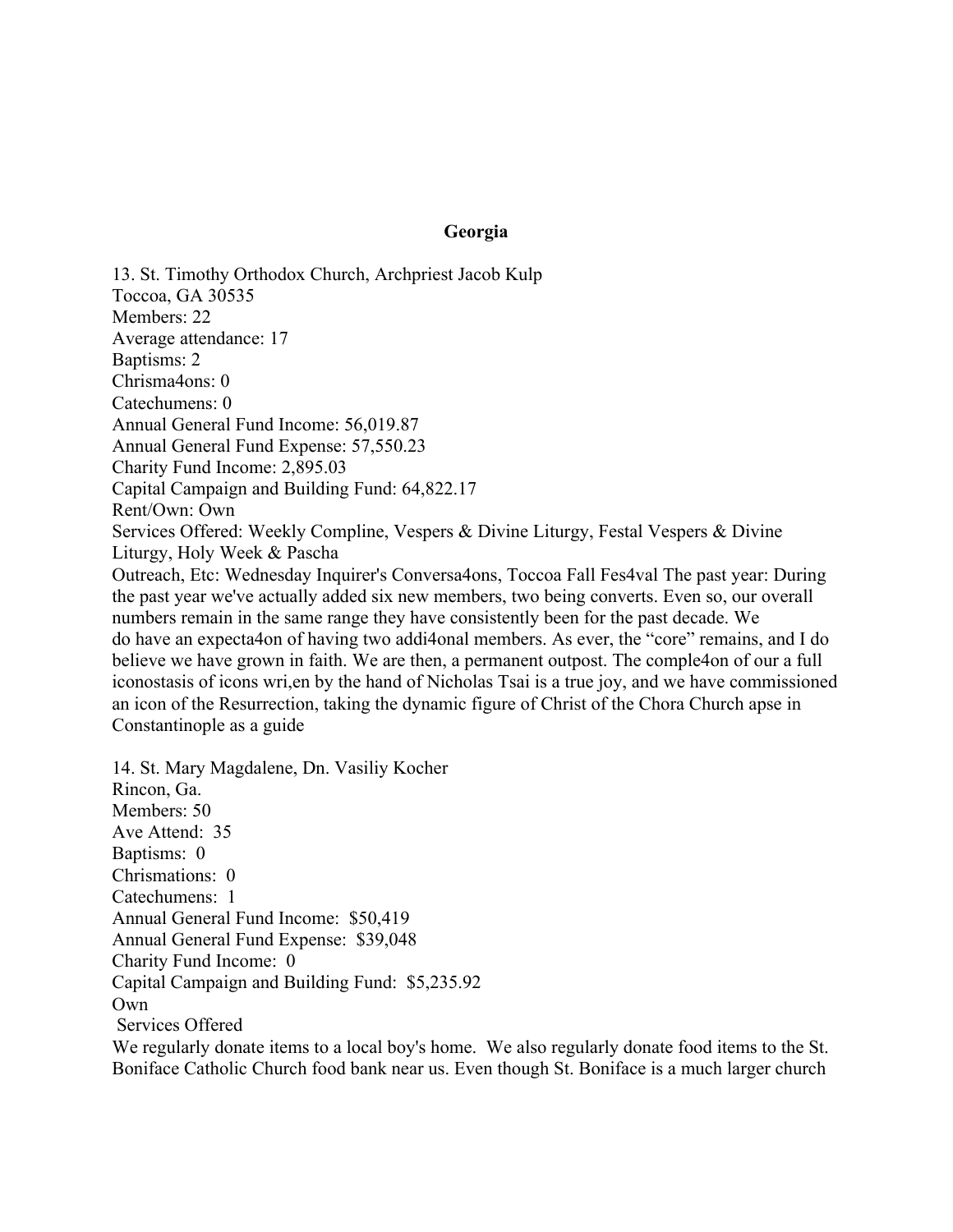## **Georgia**

13. St. Timothy Orthodox Church, Archpriest Jacob Kulp Toccoa, GA 30535 Members: 22 Average attendance: 17 Baptisms: 2 Chrisma4ons: 0 Catechumens: 0 Annual General Fund Income: 56,019.87 Annual General Fund Expense: 57,550.23 Charity Fund Income: 2,895.03 Capital Campaign and Building Fund: 64,822.17 Rent/Own: Own Services Offered: Weekly Compline, Vespers & Divine Liturgy, Festal Vespers & Divine Liturgy, Holy Week & Pascha Outreach, Etc: Wednesday Inquirer's Conversa4ons, Toccoa Fall Fes4val The past year: During the past year we've actually added six new members, two being converts. Even so, our overall numbers remain in the same range they have consistently been for the past decade. We do have an expecta4on of having two addi4onal members. As ever, the "core" remains, and I do believe we have grown in faith. We are then, a permanent outpost. The comple4on of our a full iconostasis of icons wri,en by the hand of Nicholas Tsai is a true joy, and we have commissioned an icon of the Resurrection, taking the dynamic figure of Christ of the Chora Church apse in Constantinople as a guide

14. St. Mary Magdalene, Dn. Vasiliy Kocher Rincon, Ga. Members: 50 Ave Attend: 35 Baptisms: 0 Chrismations: 0 Catechumens: 1 Annual General Fund Income: \$50,419 Annual General Fund Expense: \$39,048 Charity Fund Income: 0 Capital Campaign and Building Fund: \$5,235.92 Own Services Offered

We regularly donate items to a local boy's home. We also regularly donate food items to the St. Boniface Catholic Church food bank near us. Even though St. Boniface is a much larger church